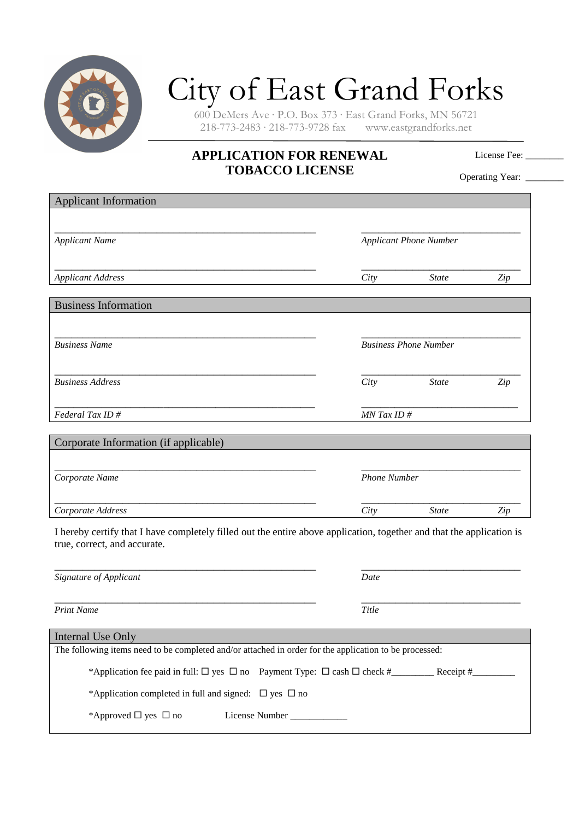

## City of East Grand Forks

600 DeMers Ave · P.O. Box 373 · East Grand Forks, MN 56721  $218-773-2483 \cdot 218-773-9728$  fax

## **APPLICATION FOR RENEWAL TOBACCO LICENSE**

License Fee:

Operating Year: \_\_\_\_\_\_\_

| <b>Applicant Information</b>                                                                                          |       |                               |                                 |  |
|-----------------------------------------------------------------------------------------------------------------------|-------|-------------------------------|---------------------------------|--|
|                                                                                                                       |       |                               |                                 |  |
| <b>Applicant Name</b>                                                                                                 |       | <b>Applicant Phone Number</b> |                                 |  |
|                                                                                                                       |       |                               |                                 |  |
| <b>Applicant Address</b>                                                                                              | City  | <b>State</b>                  | Zip                             |  |
|                                                                                                                       |       |                               |                                 |  |
| <b>Business Information</b>                                                                                           |       |                               |                                 |  |
|                                                                                                                       |       |                               |                                 |  |
| <b>Business Name</b>                                                                                                  |       | <b>Business Phone Number</b>  |                                 |  |
|                                                                                                                       |       |                               |                                 |  |
| <b>Business Address</b>                                                                                               | City  | <b>State</b>                  | Zip                             |  |
|                                                                                                                       |       |                               |                                 |  |
| Federal Tax ID#                                                                                                       |       | $MN$ Tax ID #                 |                                 |  |
|                                                                                                                       |       |                               |                                 |  |
| Corporate Information (if applicable)                                                                                 |       |                               |                                 |  |
|                                                                                                                       |       | <b>Phone Number</b>           |                                 |  |
| Corporate Name                                                                                                        |       |                               |                                 |  |
| Corporate Address                                                                                                     | City  | <b>State</b>                  | $\mathop{\mathit Zip}\nolimits$ |  |
| I hereby certify that I have completely filled out the entire above application, together and that the application is |       |                               |                                 |  |
| true, correct, and accurate.                                                                                          |       |                               |                                 |  |
|                                                                                                                       |       |                               |                                 |  |
| Signature of Applicant                                                                                                | Date  |                               |                                 |  |
|                                                                                                                       |       |                               |                                 |  |
| <b>Print Name</b>                                                                                                     | Title |                               |                                 |  |

| Internal Use Only                                                                                      |                                                                                                          |             |  |
|--------------------------------------------------------------------------------------------------------|----------------------------------------------------------------------------------------------------------|-------------|--|
| The following items need to be completed and/or attached in order for the application to be processed: |                                                                                                          |             |  |
|                                                                                                        |                                                                                                          |             |  |
|                                                                                                        | *Application fee paid in full: $\square$ yes $\square$ no Payment Type: $\square$ cash $\square$ check # | Receipt $#$ |  |
| *Application completed in full and signed: $\Box$ yes $\Box$ no                                        |                                                                                                          |             |  |
|                                                                                                        |                                                                                                          |             |  |
| *Approved $\Box$ yes $\Box$ no                                                                         | License Number                                                                                           |             |  |